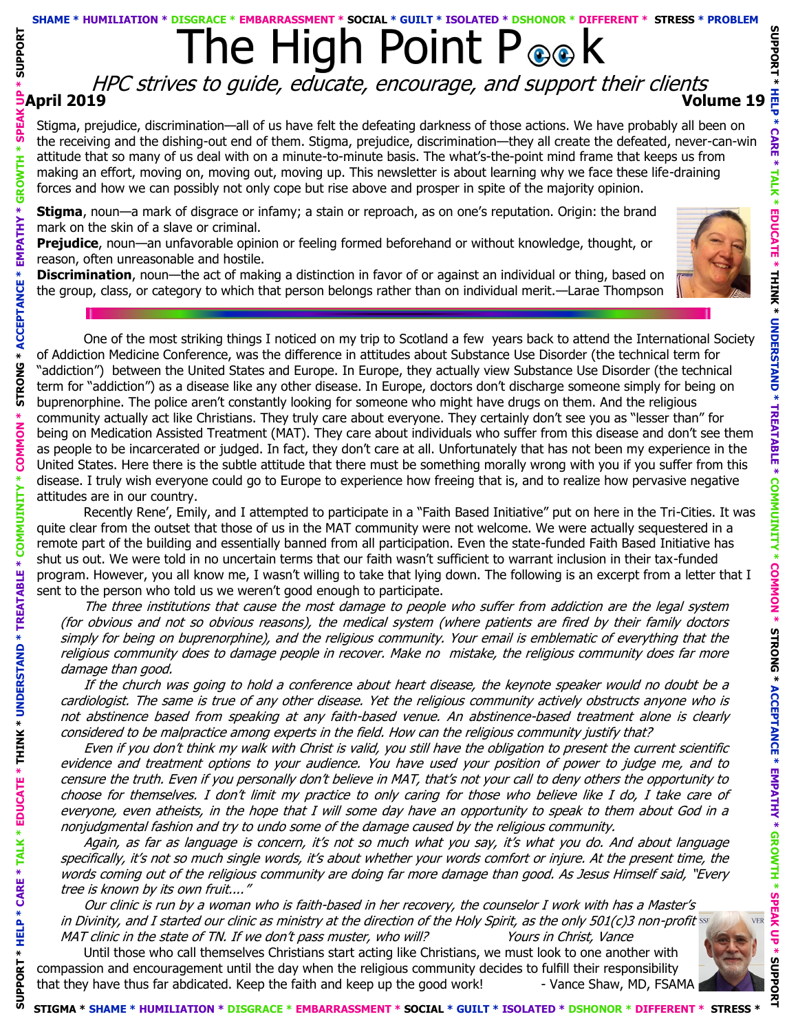## The High Point P <sub>®</sub> & **SHAME \* HUMILIATION \* DISGRACE \* EMBARRASSMENT \* SOCIAL \* GUILT \* ISOLATED \* DSHONOR \* DIFFERENT \* STRESS \* PROBLEM**

## **April 2019 Volume 19** HPC strives to guide, educate, encourage, and support their clients

Stigma, prejudice, discrimination—all of us have felt the defeating darkness of those actions. We have probably all been on the receiving and the dishing-out end of them. Stigma, prejudice, discrimination—they all create the defeated, never-can-win attitude that so many of us deal with on a minute-to-minute basis. The what's-the-point mind frame that keeps us from making an effort, moving on, moving out, moving up. This newsletter is about learning why we face these life-draining forces and how we can possibly not only cope but rise above and prosper in spite of the majority opinion.

**Stigma**, noun—a mark of disgrace or infamy; a stain or reproach, as on one's reputation. Origin: the brand mark on the skin of a slave or criminal.

**Prejudice**, noun—an unfavorable opinion or feeling formed beforehand or without knowledge, thought, or reason, often unreasonable and hostile.

**SUPPORT \* HELP \* CARE \* TALK \* EDUCATE \* THINK \* UNDERSTAND \* TREATABLE \* COMMUINITY \* COMMON \* STRONG \* ACCEPTANCE \* EMPATHY \* GROWTH \* SPEAK UP \* SUPPORT** 

COMMUINITY

\* TREATABLE \*

**\* UNDERSTAND** 

\* THINK

**EDUCATE** 

CARE

**SUPPORT** 

**SUPPORT** 

**SPEA** 

GROWTH

**EMPATHY** 

**ACCEPTANCE \*** 

**STRONG** 

COMMON

**Discrimination**, noun—the act of making a distinction in favor of or against an individual or thing, based on the group, class, or category to which that person belongs rather than on individual merit.—Larae Thompson



One of the most striking things I noticed on my trip to Scotland a few years back to attend the International Society of Addiction Medicine Conference, was the difference in attitudes about Substance Use Disorder (the technical term for "addiction") between the United States and Europe. In Europe, they actually view Substance Use Disorder (the technical term for "addiction") as a disease like any other disease. In Europe, doctors don't discharge someone simply for being on buprenorphine. The police aren't constantly looking for someone who might have drugs on them. And the religious community actually act like Christians. They truly care about everyone. They certainly don't see you as "lesser than" for being on Medication Assisted Treatment (MAT). They care about individuals who suffer from this disease and don't see them as people to be incarcerated or judged. In fact, they don't care at all. Unfortunately that has not been my experience in the United States. Here there is the subtle attitude that there must be something morally wrong with you if you suffer from this disease. I truly wish everyone could go to Europe to experience how freeing that is, and to realize how pervasive negative attitudes are in our country.

Recently Rene', Emily, and I attempted to participate in a "Faith Based Initiative" put on here in the Tri-Cities. It was quite clear from the outset that those of us in the MAT community were not welcome. We were actually sequestered in a remote part of the building and essentially banned from all participation. Even the state-funded Faith Based Initiative has shut us out. We were told in no uncertain terms that our faith wasn't sufficient to warrant inclusion in their tax-funded program. However, you all know me, I wasn't willing to take that lying down. The following is an excerpt from a letter that I sent to the person who told us we weren't good enough to participate.

The three institutions that cause the most damage to people who suffer from addiction are the legal system (for obvious and not so obvious reasons), the medical system (where patients are fired by their family doctors simply for being on buprenorphine), and the religious community. Your email is emblematic of everything that the religious community does to damage people in recover. Make no mistake, the religious community does far more damage than good.

If the church was going to hold a conference about heart disease, the keynote speaker would no doubt be a cardiologist. The same is true of any other disease. Yet the religious community actively obstructs anyone who is not abstinence based from speaking at any faith-based venue. An abstinence-based treatment alone is clearly considered to be malpractice among experts in the field. How can the religious community justify that?

Even if you don't think my walk with Christ is valid, you still have the obligation to present the current scientific evidence and treatment options to your audience. You have used your position of power to judge me, and to censure the truth. Even if you personally don't believe in MAT, that's not your call to deny others the opportunity to choose for themselves. I don't limit my practice to only caring for those who believe like I do, I take care of everyone, even atheists, in the hope that I will some day have an opportunity to speak to them about God in a nonjudgmental fashion and try to undo some of the damage caused by the religious community.

Again, as far as language is concern, it's not so much what you say, it's what you do. And about language specifically, it's not so much single words, it's about whether your words comfort or injure. At the present time, the words coming out of the religious community are doing far more damage than good. As Jesus Himself said, "Every tree is known by its own fruit...."

Our clinic is run by a woman who is faith-based in her recovery, the counselor I work with has a Master's in Divinity, and I started our clinic as ministry at the direction of the Holy Spirit, as the only 501(c)3 non-profit MAT clinic in the state of TN. If we don't pass muster, who will? Yours in Christ, Vance

Until those who call themselves Christians start acting like Christians, we must look to one another with compassion and encouragement until the day when the religious community decides to fulfill their responsibility that they have thus far abdicated. Keep the faith and keep up the good work! - Vance Shaw, MD, FSAMA